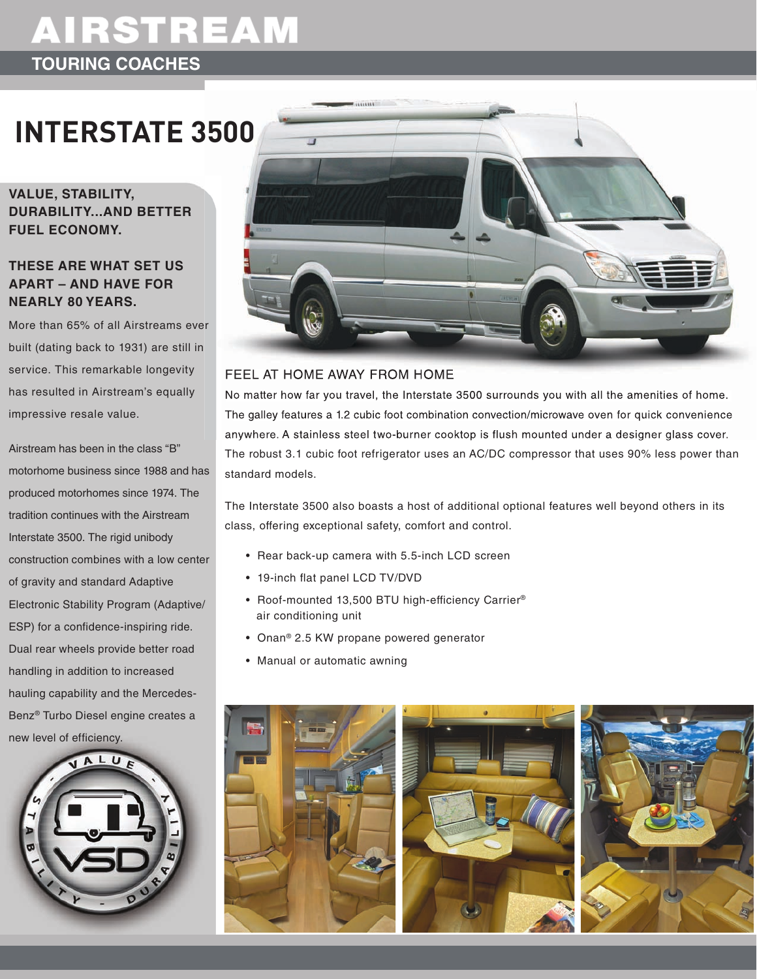## **AIRSTREAM TOURING COACHES**

# **INTERSTATE 3500**

**Value, Stability, Durability...anD better fuel economy.**

### **theSe are what Set uS apart – anD haVe for nearly 80 yearS.**

More than 65% of all Airstreams ever built (dating back to 1931) are still in service. This remarkable longevity has resulted in Airstream's equally impressive resale value.

Airstream has been in the class "B" motorhome business since 1988 and has produced motorhomes since 1974. The tradition continues with the Airstream Interstate 3500. The rigid unibody construction combines with a low center of gravity and standard Adaptive Electronic Stability Program (Adaptive/ ESP) for a confidence-inspiring ride. Dual rear wheels provide better road handling in addition to increased hauling capability and the Mercedes-Benz<sup>®</sup> Turbo Diesel engine creates a new level of efficiency.





#### feel at Home away from Home

No matter how far you travel, the Interstate 3500 surrounds you with all the amenities of home. the galley features a 1.2 cubic foot combination convection/microwave oven for quick convenience anywhere. A stainless steel two-burner cooktop is flush mounted under a designer glass cover. The robust 3.1 cubic foot refrigerator uses an AC/DC compressor that uses 90% less power than standard models.

the Interstate 3500 also boasts a host of additional optional features well beyond others in its class, offering exceptional safety, comfort and control.

- Rear back-up camera with 5.5-inch LCD screen
- 19-inch flat panel LCD TV/DVD
- Roof-mounted 13,500 BTU high-efficiency Carrier® air conditioning unit
- Onan® 2.5 Kw propane powered generator
- Manual or automatic awning